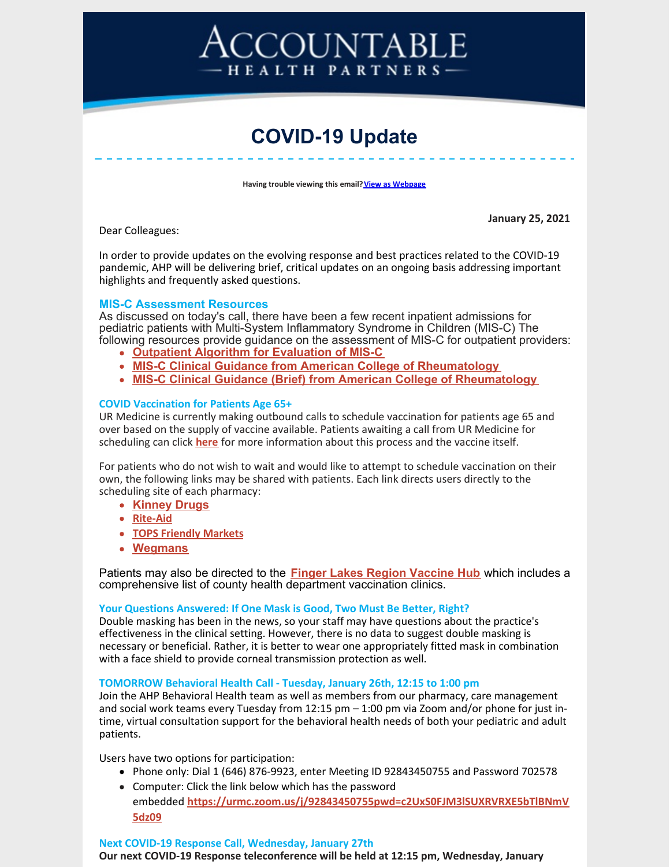# COUNTABLE HEALTH PARTNERS-

# **COVID-19 Update**

**Having trouble viewing this email? View as [Webpage](http://campaign.r20.constantcontact.com/render?ca=8ba51bd5-dcff-413e-b42e-9c743be8ad10&preview=true&m=1116358108777&id=preview)** 

Dear Colleagues:

**January 25, 2021**

In order to provide updates on the evolving response and best practices related to the COVID-19 pandemic, AHP will be delivering brief, critical updates on an ongoing basis addressing important highlights and frequently asked questions.

#### **MIS-C Assessment Resources**

As discussed on today's call, there have been a few recent inpatient admissions for pediatric patients with Multi-System Inflammatory Syndrome in Children (MIS-C) The following resources provide guidance on the assessment of MIS-C for outpatient providers:

- **Outpatient Algorithm for [Evaluation](https://ahpnetwork.com/mis-c-outpatient-guidelines/) of MIS-C**
- **MIS-C Clinical Guidance from American College of [Rheumatology](https://ahpnetwork.com/mis-c-clinical-guidance-from-american-college-of-rheumatology/)**
- **MIS-C Clinical Guidance (Brief) from American College of [Rheumatology](https://ahpnetwork.com/brief-mis-c-clinical-guidance-from-american-college-of-rheumatology/)**

#### **COVID Vaccination for Patients Age 65+**

UR Medicine is currently making outbound calls to schedule vaccination for patients age 65 and over based on the supply of vaccine available. Patients awaiting a call from UR Medicine for scheduling can click **[here](https://www.urmc.rochester.edu/coronavirus/coronavirus-vaccination/frequently-asked-questions.aspx)** for more information about this process and the vaccine itself.

For patients who do not wish to wait and would like to attempt to schedule vaccination on their own, the following links may be shared with patients. Each link directs users directly to the scheduling site of each pharmacy:

- **[Kinney](https://secure.kinneydrugs.com/pharmacy/covid-19/vaccination-scheduling/ny/) Drugs**
- **[Rite-Aid](https://sr.reportsonline.com/sr/riteaid/NYS2021)**
- **TOPS [Friendly](https://www.topsmarkets.com/Covid19Vaccinations) Markets**
- **[Wegmans](https://www.wegmans.com/covid-vaccine-registration/)**

Patients may also be directed to the **Finger Lakes Region [Vaccine](https://flvaccinehub.com/Home/Eligible) Hub** which includes a comprehensive list of county health department vaccination clinics.

#### **Your Questions Answered: If One Mask is Good, Two Must Be Better, Right?**

Double masking has been in the news, so your staff may have questions about the practice's effectiveness in the clinical setting. However, there is no data to suggest double masking is necessary or beneficial. Rather, it is better to wear one appropriately fitted mask in combination with a face shield to provide corneal transmission protection as well.

#### **TOMORROW Behavioral Health Call - Tuesday, January 26th, 12:15 to 1:00 pm**

Join the AHP Behavioral Health team as well as members from our pharmacy, care management and social work teams every Tuesday from 12:15 pm – 1:00 pm via Zoom and/or phone for just intime, virtual consultation support for the behavioral health needs of both your pediatric and adult patients.

Users have two options for participation:

- Phone only: Dial 1 (646) 876-9923, enter Meeting ID 92843450755 and Password 702578
- Computer: Click the link below which has the password embedded **[https://urmc.zoom.us/j/92843450755pwd=c2UxS0FJM3lSUXRVRXE5bTlBNmV](https://urldefense.proofpoint.com/v2/url?u=https-3A__urmc.zoom.us_j_92843450755-3Fpwd-3Dc2UxS0FJM3lSUXRVRXE5bTlBNmV5dz09&d=DwMFaQ&c=4sF48jRmVAe_CH-k9mXYXEGfSnM3bY53YSKuLUQRxhA&r=OOjhaJdYW-v7Hk2vsseKQju6oXTF3VGRYLmMyMNHGyg&m=HG7X4C3xkEs5dTtk_dtQcOAjo5WH7lVDPE6FGlM5toM&s=gAlBaQid5-Shuw8ONv8b1---39xFekYnsdxAlK7ItSs&e=) 5dz09**

#### **Next COVID-19 Response Call, Wednesday, January 27th**

**Our next COVID-19 Response teleconference will be held at 12:15 pm, Wednesday, January**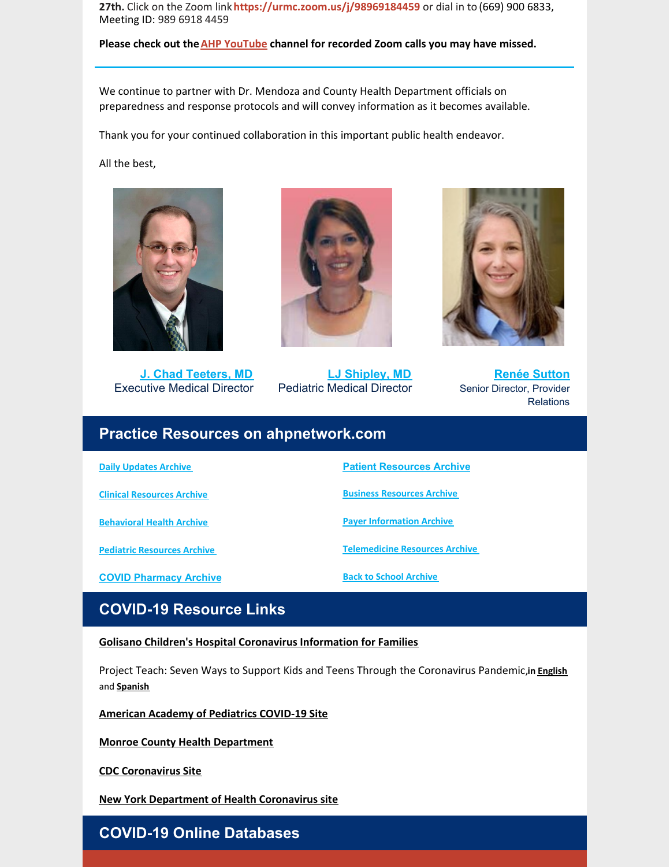**27th.** Click on the Zoom link**<https://urmc.zoom.us/j/98969184459>** or dial in to (669) 900 6833, Meeting ID: 989 6918 4459

**Please check out theAHP [YouTube](https://www.youtube.com/channel/UC6DHuwMG2joy9L-FbnFxPgA) channel for recorded Zoom calls you may have missed.**

We continue to partner with Dr. Mendoza and County Health Department officials on preparedness and response protocols and will convey information as it becomes available.

Thank you for your continued collaboration in this important public health endeavor.

All the best,



**J. Chad [Teeters,](mailto:john_teeters@urmc.rochester.edu) MD** Executive Medical Director



**LJ [Shipley,](mailto:Laura_shipley@urmc.rochester.edu) MD** Pediatric Medical Director



**Renée [Sutton](mailto:renee_sutton@urmc.rochester.edu)** Senior Director, Provider **Relations** 

## **Practice Resources on ahpnetwork.com**

**Daily [Updates](https://ahpnetwork.com/category/news/covid-19/daily-updates/) Archive**

**Clinical [Resources](https://ahpnetwork.com/category/news/covid-19/clinical-resources/) Archive**

**[Behavioral](https://ahpnetwork.com/category/news/covid-19/behavioral-health/) Health Archive**

**Pediatric [Resources](https://ahpnetwork.com/category/news/covid-19/covid-pediatrics/) Archive**

**COVID [Pharmacy](https://ahpnetwork.com/category/news/covid-19/pharmacy/) Archive**

**Patient [Resources](https://ahpnetwork.com/category/news/covid-19/patient-resources/) Archive**

**Business [Resources](https://ahpnetwork.com/category/news/covid-19/business-resources/) Archive**

**Payer [Information](https://ahpnetwork.com/category/news/covid-19/payer-information/) Archive**

**[Telemedicine](https://ahpnetwork.com/category/news/covid-19/telemedicine-resources/) Resources Archive**

**Back to School [Archive](https://ahpnetwork.com/category/news/covid-19/covid-pediatrics/covid-return-to-school/)**

# **COVID-19 Resource Links**

**Golisano Children's Hospital [Coronavirus](https://www.urmc.rochester.edu/childrens-hospital/coronavirus-information-for-families.aspx) Information for Families**

Project Teach: Seven Ways to Support Kids and Teens Through the Coronavirus Pandemic,**in [English](https://www.mghclaycenter.org/hot-topics/7-ways-to-support-kids-and-teens-through-the-coronavirus-pandemic/)** and **[Spanish](https://www.mghclaycenter.org/hot-topics/7-maneras-de-apoyar-a-ninos-y-adolescentes-durante-la-pandemia-del-coronavirus/)**

**American Academy of [Pediatrics](https://services.aap.org/en/pages/2019-novel-coronavirus-covid-19-infections/) COVID-19 Site**

**Monroe County Health [Department](https://www2.monroecounty.gov/health-coronavirus)**

**CDC [Coronavirus](https://www.cdc.gov/coronavirus/2019-nCoV/index.html) Site**

**New York [Department](https://www.health.ny.gov/diseases/communicable/coronavirus/) of Health Coronavirus site**

### **COVID-19 Online Databases**